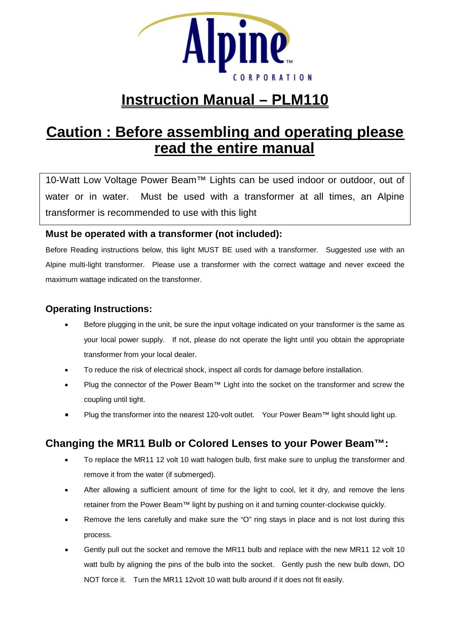

# **Instruction Manual – PLM110**

# **Caution : Before assembling and operating please read the entire manual**

10-Watt Low Voltage Power Beam™ Lights can be used indoor or outdoor, out of water or in water. Must be used with a transformer at all times, an Alpine transformer is recommended to use with this light

### **Must be operated with a transformer (not included):**

Before Reading instructions below, this light MUST BE used with a transformer. Suggested use with an Alpine multi-light transformer. Please use a transformer with the correct wattage and never exceed the maximum wattage indicated on the transformer.

#### **Operating Instructions:**

- Before plugging in the unit, be sure the input voltage indicated on your transformer is the same as your local power supply. If not, please do not operate the light until you obtain the appropriate transformer from your local dealer.
- To reduce the risk of electrical shock, inspect all cords for damage before installation.
- Plug the connector of the Power Beam™ Light into the socket on the transformer and screw the coupling until tight.
- Plug the transformer into the nearest 120-volt outlet. Your Power Beam™ light should light up.

## **Changing the MR11 Bulb or Colored Lenses to your Power Beam™:**

- To replace the MR11 12 volt 10 watt halogen bulb, first make sure to unplug the transformer and remove it from the water (if submerged).
- After allowing a sufficient amount of time for the light to cool, let it dry, and remove the lens retainer from the Power Beam™ light by pushing on it and turning counter-clockwise quickly.
- Remove the lens carefully and make sure the "O" ring stays in place and is not lost during this process.
- Gently pull out the socket and remove the MR11 bulb and replace with the new MR11 12 volt 10 watt bulb by aligning the pins of the bulb into the socket. Gently push the new bulb down, DO NOT force it. Turn the MR11 12volt 10 watt bulb around if it does not fit easily.